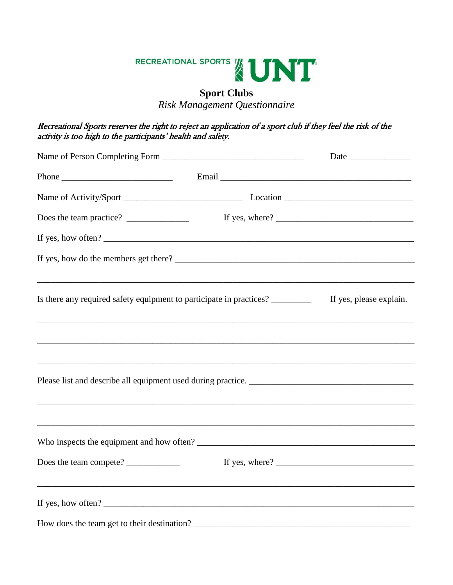

## **Sport Clubs**

*Risk Management Questionnaire* 

## Recreational Sports reserves the right to reject an application of a sport club if they feel the risk of the activity is too high to the participants' health and safety.

| Phone $\frac{1}{1}$                                                                                                                                                                                                                                                                        | Email experience and the contract of the contract of the contract of the contract of the contract of the contract of the contract of the contract of the contract of the contract of the contract of the contract of the contr |                                         |
|--------------------------------------------------------------------------------------------------------------------------------------------------------------------------------------------------------------------------------------------------------------------------------------------|--------------------------------------------------------------------------------------------------------------------------------------------------------------------------------------------------------------------------------|-----------------------------------------|
|                                                                                                                                                                                                                                                                                            |                                                                                                                                                                                                                                |                                         |
|                                                                                                                                                                                                                                                                                            |                                                                                                                                                                                                                                |                                         |
| If yes, how often?                                                                                                                                                                                                                                                                         |                                                                                                                                                                                                                                |                                         |
|                                                                                                                                                                                                                                                                                            |                                                                                                                                                                                                                                |                                         |
| Is there any required safety equipment to participate in practices? __________                                                                                                                                                                                                             |                                                                                                                                                                                                                                | If yes, please explain.                 |
|                                                                                                                                                                                                                                                                                            |                                                                                                                                                                                                                                |                                         |
|                                                                                                                                                                                                                                                                                            |                                                                                                                                                                                                                                |                                         |
|                                                                                                                                                                                                                                                                                            |                                                                                                                                                                                                                                |                                         |
|                                                                                                                                                                                                                                                                                            |                                                                                                                                                                                                                                | If yes, where? $\overline{\phantom{a}}$ |
| If yes, how often? $\frac{1}{2}$ and $\frac{1}{2}$ are $\frac{1}{2}$ and $\frac{1}{2}$ are $\frac{1}{2}$ and $\frac{1}{2}$ are $\frac{1}{2}$ and $\frac{1}{2}$ are $\frac{1}{2}$ and $\frac{1}{2}$ are $\frac{1}{2}$ and $\frac{1}{2}$ are $\frac{1}{2}$ and $\frac{1}{2}$ are $\frac{1}{$ |                                                                                                                                                                                                                                |                                         |
|                                                                                                                                                                                                                                                                                            |                                                                                                                                                                                                                                |                                         |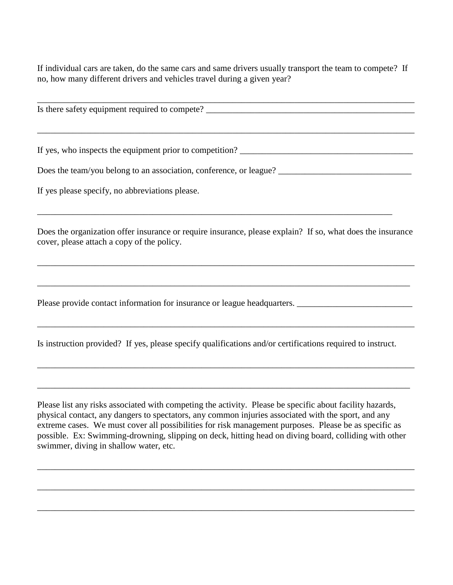If individual cars are taken, do the same cars and same drivers usually transport the team to compete? If no, how many different drivers and vehicles travel during a given year?

\_\_\_\_\_\_\_\_\_\_\_\_\_\_\_\_\_\_\_\_\_\_\_\_\_\_\_\_\_\_\_\_\_\_\_\_\_\_\_\_\_\_\_\_\_\_\_\_\_\_\_\_\_\_\_\_\_\_\_\_\_\_\_\_\_\_\_\_\_\_\_\_\_\_\_\_\_\_\_\_\_\_\_\_\_ Is there safety equipment required to compete? \_\_\_\_\_\_\_\_\_\_\_\_\_\_\_\_\_\_\_\_\_\_\_\_\_\_\_\_\_\_\_\_\_\_\_\_\_\_\_\_\_\_\_\_\_\_\_\_\_\_\_\_\_\_\_\_\_\_\_\_\_\_\_\_\_\_\_\_\_\_\_\_\_\_\_\_\_\_\_\_\_\_\_\_\_ If yes, who inspects the equipment prior to competition? \_\_\_\_\_\_\_\_\_\_\_\_\_\_\_\_\_\_\_\_\_\_\_\_\_\_\_\_\_\_\_\_\_\_\_\_\_\_\_ Does the team/you belong to an association, conference, or league? \_\_\_\_\_\_\_\_\_\_\_\_\_\_\_\_\_\_\_\_\_\_\_\_\_\_\_\_\_\_ If yes please specify, no abbreviations please. \_\_\_\_\_\_\_\_\_\_\_\_\_\_\_\_\_\_\_\_\_\_\_\_\_\_\_\_\_\_\_\_\_\_\_\_\_\_\_\_\_\_\_\_\_\_\_\_\_\_\_\_\_\_\_\_\_\_\_\_\_\_\_\_\_\_\_\_\_\_\_\_\_\_\_\_\_\_\_\_ Does the organization offer insurance or require insurance, please explain? If so, what does the insurance cover, please attach a copy of the policy. \_\_\_\_\_\_\_\_\_\_\_\_\_\_\_\_\_\_\_\_\_\_\_\_\_\_\_\_\_\_\_\_\_\_\_\_\_\_\_\_\_\_\_\_\_\_\_\_\_\_\_\_\_\_\_\_\_\_\_\_\_\_\_\_\_\_\_\_\_\_\_\_\_\_\_\_\_\_\_\_\_\_\_\_\_ \_\_\_\_\_\_\_\_\_\_\_\_\_\_\_\_\_\_\_\_\_\_\_\_\_\_\_\_\_\_\_\_\_\_\_\_\_\_\_\_\_\_\_\_\_\_\_\_\_\_\_\_\_\_\_\_\_\_\_\_\_\_\_\_\_\_\_\_\_\_\_\_\_\_\_\_\_\_\_\_\_\_\_\_ Please provide contact information for insurance or league headquarters. \_\_\_\_\_\_\_\_\_\_\_\_\_\_\_\_\_\_\_\_\_\_\_\_\_\_ \_\_\_\_\_\_\_\_\_\_\_\_\_\_\_\_\_\_\_\_\_\_\_\_\_\_\_\_\_\_\_\_\_\_\_\_\_\_\_\_\_\_\_\_\_\_\_\_\_\_\_\_\_\_\_\_\_\_\_\_\_\_\_\_\_\_\_\_\_\_\_\_\_\_\_\_\_\_\_\_\_\_\_\_\_ Is instruction provided? If yes, please specify qualifications and/or certifications required to instruct. \_\_\_\_\_\_\_\_\_\_\_\_\_\_\_\_\_\_\_\_\_\_\_\_\_\_\_\_\_\_\_\_\_\_\_\_\_\_\_\_\_\_\_\_\_\_\_\_\_\_\_\_\_\_\_\_\_\_\_\_\_\_\_\_\_\_\_\_\_\_\_\_\_\_\_\_\_\_\_\_\_\_\_\_\_ \_\_\_\_\_\_\_\_\_\_\_\_\_\_\_\_\_\_\_\_\_\_\_\_\_\_\_\_\_\_\_\_\_\_\_\_\_\_\_\_\_\_\_\_\_\_\_\_\_\_\_\_\_\_\_\_\_\_\_\_\_\_\_\_\_\_\_\_\_\_\_\_\_\_\_\_\_\_\_\_\_\_\_\_

Please list any risks associated with competing the activity. Please be specific about facility hazards, physical contact, any dangers to spectators, any common injuries associated with the sport, and any extreme cases. We must cover all possibilities for risk management purposes. Please be as specific as possible. Ex: Swimming-drowning, slipping on deck, hitting head on diving board, colliding with other swimmer, diving in shallow water, etc.

\_\_\_\_\_\_\_\_\_\_\_\_\_\_\_\_\_\_\_\_\_\_\_\_\_\_\_\_\_\_\_\_\_\_\_\_\_\_\_\_\_\_\_\_\_\_\_\_\_\_\_\_\_\_\_\_\_\_\_\_\_\_\_\_\_\_\_\_\_\_\_\_\_\_\_\_\_\_\_\_\_\_\_\_\_

\_\_\_\_\_\_\_\_\_\_\_\_\_\_\_\_\_\_\_\_\_\_\_\_\_\_\_\_\_\_\_\_\_\_\_\_\_\_\_\_\_\_\_\_\_\_\_\_\_\_\_\_\_\_\_\_\_\_\_\_\_\_\_\_\_\_\_\_\_\_\_\_\_\_\_\_\_\_\_\_\_\_\_\_\_

\_\_\_\_\_\_\_\_\_\_\_\_\_\_\_\_\_\_\_\_\_\_\_\_\_\_\_\_\_\_\_\_\_\_\_\_\_\_\_\_\_\_\_\_\_\_\_\_\_\_\_\_\_\_\_\_\_\_\_\_\_\_\_\_\_\_\_\_\_\_\_\_\_\_\_\_\_\_\_\_\_\_\_\_\_